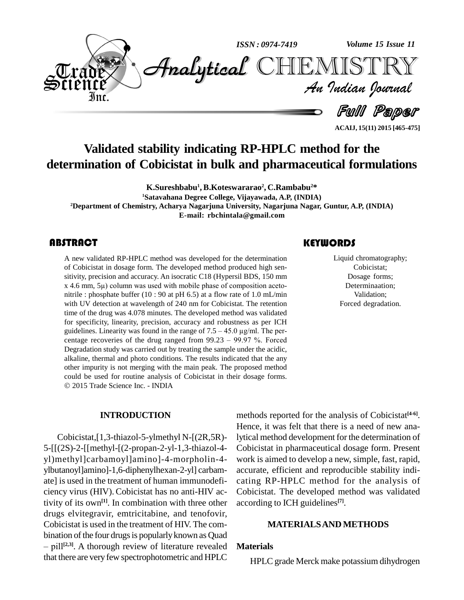

**ACAIJ, 15(11) 2015 [465-475]**

# **Validated stability indicating RP-HPLC method for the determination of Cobicistat in bulk and pharmaceutical formulations**

**K.Sureshbabu 1 , B.Koteswararao 2 , C.Rambabu <sup>2</sup>\* <sup>1</sup>Satavahana Degree College, Vijayawada, A.P, (INDIA) <sup>2</sup>Department of Chemistry, Acharya Nagarjuna University, Nagarjuna Nagar, Guntur, A.P, (INDIA) E-mail: [rbchintala@gmail.com](mailto:rbchintala@gmail.com)**

A new validated RP-HPLC method was developed for the determination<br>of Cobicistat in dosage form. The developed method produced high sen-<br>sitivity, precision and accuracy. An isocratic C18 (Hypersil BDS, 150 mm A new validated RP-HPLC method was developed for the determination of Cobicistat in dosage form. The developed method produced high sen of Cobicistat in dosage form. The developed method produced high sensitivity, precision and accuracy. An isocratic C18 (Hypersil BDS, 150 mm x 4.6 mm, 5µ) column was used with mobile phase of composition acetonitrile : phosphate buffer (10 : 90 at pH 6.5) at a flow rate of 1.0 mL/min with UV detection at wavelength of 240 nm for Cobicistat. The retention time of the drug was 4.078 minutes. The developed method was validated for specificity, linearity, precision, accuracy and robustness as per ICH time of the drug was 4.078 minutes. The developed method was validated<br>for specificity, linearity, precision, accuracy and robustness as per ICH<br>guidelines. Linearity was found in the range of  $7.5 - 45.0 \,\mu g/ml$ . The perfor specificity, linearity, precision, accuracy and robustness as per ICH guidelines. Linearity was found in the range of  $7.5 - 45.0 \mu g/ml$ . The percentage recoveries of the drug ranged from 99.23 – 99.97 %. Forced Degradation study was carried out by treating the sample under the acidic, alkaline, thermal and photo conditions. The results indicated that the any other impurity is not merging with the main peak. The proposed method could be used for routine analysis of Cobicistat in their dosage forms. 2015 Trade Science Inc. - INDIA

#### **INTRODUCTION**

Cobicistat,[1,3-thiazol-5-ylmethyl N-[(2R,5R)- 5-[[(2S)-2-[[methyl-[(2-propan-2-yl-1,3-thiazol-4 yl)methyl]carbamoyl]amino]-4-morpholin-4 ylbutanoyl]amino]-1,6-diphenylhexan-2-yl] carbam ate] is used in the treatment of human immunodefi ciency virus (HIV). Cobicistat has no anti-HIV activity of its own **[1]**. In combination with three other drugs elvitegravir, emtricitabine, and tenofovir, Cobicistat is used in the treatment of HIV. The combination of the four drugs is popularly known as Quad bbicistat is used in the treatment of HIV. The com-<br>nation of the four drugs is popularly known as Quad<br>pill<sup>[2,3]</sup>. A thorough review of literature revealed **Mater** that there are very few spectrophotometric and HPLC

# **KEYWORDS**

Liquid chromatog<br>Cobicistat;<br>Dosage form Liquid chromatography; Cobicistat; Dosage forms; Determinaation; Validation; Forced degradation.

methods reported for the analysis of Cobicistat **[4-6]**. Hence, it was felt that there is a need of new analytical method development for the determination of Cobicistat in pharmaceutical dosage form. Present work is aimed to develop a new, simple, fast, rapid, accurate, efficient and reproducible stability indi cating RP-HPLC method for the analysis of Cobicistat. The developed method was validated according to ICH guidelines **[7]**.

#### **MATERIALSAND METHODS**

#### **Materials**

HPLC grade Merck make potassium dihydrogen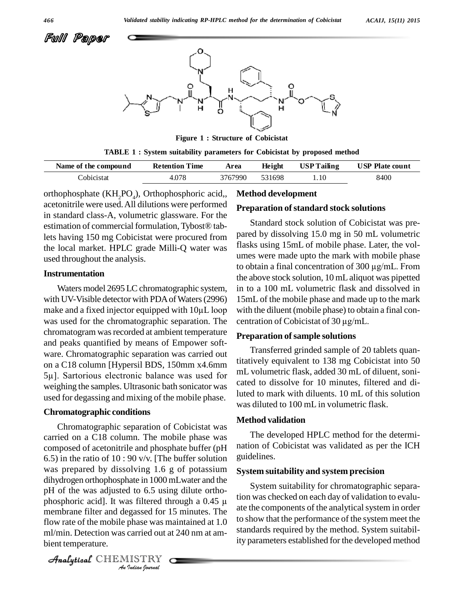

**Figure 1 : Structure of Cobicistat**

|  |  |  |  | TABLE 1 : System suitability parameters for Cobicistat by proposed method |
|--|--|--|--|---------------------------------------------------------------------------|
|  |  |  |  |                                                                           |

| Name of the compound | <b>Retention Time</b> | Area    | Height | <b>USP Tailing</b> | <b>USP Plate count</b> |
|----------------------|-----------------------|---------|--------|--------------------|------------------------|
| dobicistat:          | 4.078                 | 3767990 | 531698 | .10                | 8400                   |

orthophosphate  $(KH_2PO_4)$ , Orthophosphoric acid,, **Metho** acetonitrile were used. All dilutions were performed in standard class-A, volumetric glassware. For the acetonitrile were used. All dilutions were performed<br>in standard class-A, volumetric glassware. For the<br>estimation of commercial formulation, Tybost® tablets having 150 mg Cobicistat were procured from the local market. HPLC grade Milli-Q water was used throughout the analysis.

#### **Instrumentation**

Waters model 2695 LC chromatographic system, with UV-Visible detector with PDA of Waters (2996) 15n Waters model 2695 LC chromatographic system, in to a<br>with UV-Visible detector with PDA of Waters (2996) 15mL make and a fixed injector equipped with 10µL loop with th was used for the chromatographic separation. The centration of Cobicistat of 30 µg/mL. chromatogram was recorded at ambient temperature and peaks quantified by means of Empower soft ware. Chromatographic separation was carried out on a C18 column [Hypersil BDS, 150mm x4.6mm <sup>5</sup>µ]. Sartorious electronic balance was used for weighing the samples. Ultrasonic bath sonicator was used for degassing and mixing of the mobile phase.

### **Chromatographic conditions**

phosphoric acid]. It was filtered through a  $0.45 \mu$ *Indeed the gassed for 1*<br>*Phase was m*<br>*Carried out a*<br>*ISTRY* membrane filter and degassed for 15 minutes. The attention Chromatographic separation of Cobicistat was carried on a C18 column. The mobile phase was composed of acetonitrile and phosphate buffer (pH 6.5) in the ratio of 10 : 90 v/v. [The buffer solution was prepared by dissolving 1.6 g of potassium dihydrogen orthophosphate in 1000 mLwater and the pH of the was adjusted to 6.5 using dilute ortho-<br>phosphoric acid]. It was filtered through a 0.45  $\mu$  tion was pH of the was adjusted to 6.5 using dilute ortho flow rate of the mobile phase was maintained at 1.0 ml/min. Detection was carried out at 240 nm at am bient temperature.

**Method development**

#### **Preparation ofstandard stock solutions**

Standard stock solution of Cobicistat was pre pared by dissolving 15.0 mg in 50 mL volumetric flasks using 15mL of mobile phase. Later, the vol umes were made upto the mark with mobile phase flasks using 15mL of mobile phase. Later, the vol-<br>umes were made upto the mark with mobile phase<br>to obtain a final concentration of 300 µg/mL. From the above stock solution, 10 mLaliquot was pipetted in to a 100 mL volumetric flask and dissolved in 15mL of the mobile phase and made up to the mark<br>with the diluent (mobile phase) to obtain a final con-<br>centration of Cobicistat of 30  $\mu g/mL$ . with the diluent (mobile phase) to obtain a final con-

#### **Preparation of sample solutions**

Transferred grinded sample of 20 tablets quantitatively equivalent to 138 mg Cobicistat into 50 mL volumetric flask, added 30 mL of diluent, soni cated to dissolve for 10 minutes, filtered and diluted to mark with diluents. 10 mL of this solution was diluted to 100 mL in volumetric flask.

#### **Method validation**

The developed HPLC method for the determi nation of Cobicistat was validated as per the ICH guidelines.

#### **System suitability and system precision**

System suitability for chromatographic separation was checked on each day of validation to evalu ate the components of the analytical system in order to show that the performance of the system meet the standards required by the method. System suitability parameters established for the developed method

CHEMISTRY COMPANY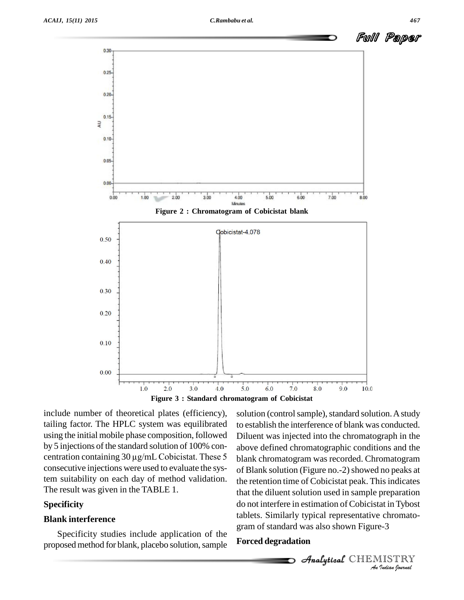

include number of theoretical plates (efficiency), tailing factor. The HPLC system was equilibrated using the initial mobile phase composition, followed by 5 injections of the standard solution of 100% con-<br>above d using the initial mobile phase composition, followed Diluen<br>by 5 injections of the standard solution of 100% con-<br>centration containing  $30 \mu g/mL$  Cobicistat. These 5 blank of consecutive injections were used to evaluate the system suitability on each day of method validation. The result was given in the TABLE 1.

# **Specificity**

#### **Blank interference**

Specificity studies include application of the proposed method for blank, placebo solution, sample

do not interfere in estimation of Cobicistat in Tybost at in Tybost<br>*2*-3<br>IISTRY<br>Indian Iournal solution (control sample), standard solution. A study to establish the interference of blank was conducted. Diluent was injected into the chromatograph in the above defined chromatographic conditions and the blank chromatogram was recorded. Chromatogram of Blank solution (Figure no.-2) showed no peaks at the retention time of Cobicistat peak. This indicates that the diluent solution used in sample preparation tablets. Similarly typical representative chromato gram of standard was also shown Figure-3

### **Forced degradation**

 $\mathscr{A}$ nalytical $\mathcal C$ HEMISTRY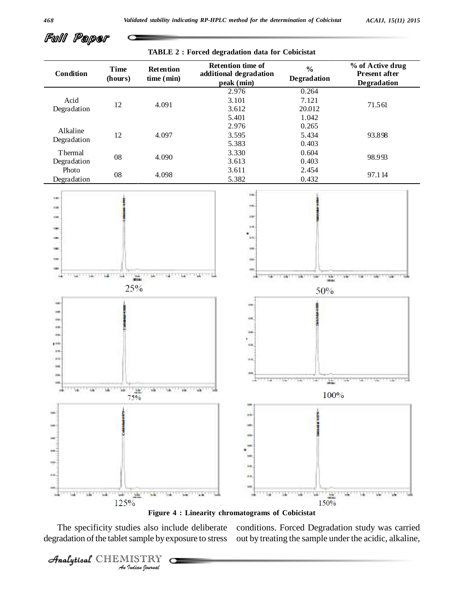

**Figure 4 : Linearity chromatograms of Cobicistat**

*I*<br>*I Indian Indian*<br>*IISTRY*<br>*Indian Sournal* The specificity studies also include deliberate degradation of the tablet sample by exposure to stress

CHEMISTRY COMPANY

conditions. Forced Degradation study was carried out by treating the sample under the acidic, alkaline,

Full Paper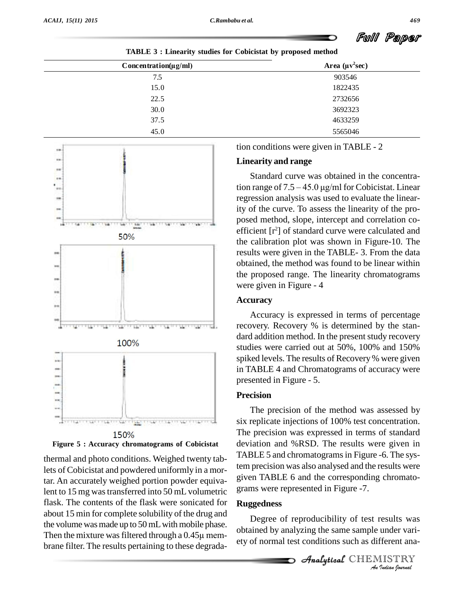| . .<br>TABLE 3 : Linearity studies for Cobicistat by proposed method |                       |  |  |  |
|----------------------------------------------------------------------|-----------------------|--|--|--|
| $Concentration(\mu g/ml)$                                            | Area $(\mu v^2 \sec)$ |  |  |  |
| 7.5                                                                  | 903546                |  |  |  |
| 15.0                                                                 | 1822435               |  |  |  |
| 22.5                                                                 | 2732656               |  |  |  |
| 30.0                                                                 | 3692323               |  |  |  |
| 37.5                                                                 | 4633259               |  |  |  |
| 45.0                                                                 | 5565046               |  |  |  |





thermal and photo conditions. Weighed twenty tablets of Cobicistat and powdered uniformly in a mortar. An accurately weighed portion powder equivalent to 15 mg was transferred into 50 mL volumetric flask. The contents of the flask were sonicated for about 15 min for complete solubility of the drug and<br>the volume was made up to 50 mL with mobile phase.<br>Then the mixture was filtered through a 0.45µ memthe volume was made up to 50 mL with mobile phase. brane filter. The results pertaining to these degrada-

tion conditions were given in TABLE - 2

# **Linearity and range**

Standard curve was obtained in the concentration range of  $7.5 - 45.0 \mu g/ml$  for Cobicistat. Linear regression analysis was used to evaluate the linearity of the curve. To assess the linearity of the pro posed method, slope, intercept and correlation co efficient [r <sup>2</sup>] of standard curve were calculated and the calibration plot was shown in Figure-10. The results were given in the TABLE- 3. From the data obtained, the method was found to be linear within the proposed range. The linearity chromatograms were given in Figure - 4

# **Accuracy**

Accuracy is expressed in terms of percentage recovery. Recovery % is determined by the stan dard addition method. In the present study recovery studies were carried out at 50%, 100% and 150% spiked levels. The results of Recovery % were given in TABLE 4 and Chromatograms of accuracy were presented in Figure - 5.

# **Precision**

The precision of the method was assessed by six replicate injections of 100% test concentration. The precision was expressed in terms of standard deviation and %RSD. The results were given in TABLE 5 and chromatograms in Figure -6. The system precision was also analysed and the results were given TABLE 6 and the corresponding chromatograms were represented in Figure -7.

# **Ruggedness**

*I*<br>**Indian** variand<br>IISTRY<br>*Indian hournal* Degree of reproducibility of test results was obtained by analyzing the same sample under vari ety of normal test conditions such as different ana-

**Analytical** CHEMISTRY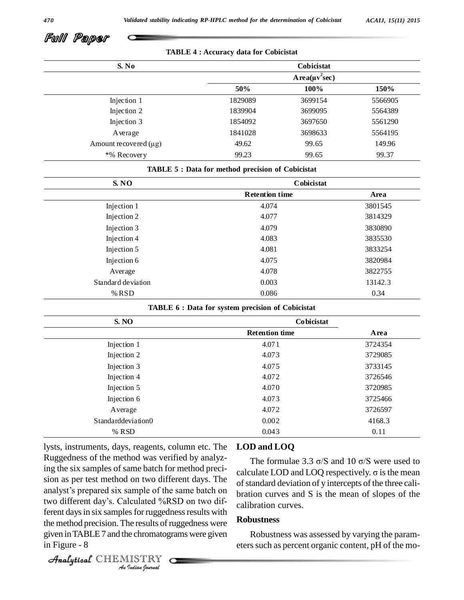

**TABLE 4 : Accuracy data for Cobicistat**

| S. No                      |         | Cobicistat          |             |
|----------------------------|---------|---------------------|-------------|
|                            |         | $Area(\mu v^2 sec)$ |             |
|                            | 50%     | 100%                | <b>150%</b> |
| Injection 1                | 1829089 | 3699154             | 5566905     |
| Injection 2                | 1839904 | 3699095             | 5564389     |
| Injection 3                | 1854092 | 3697650             | 5561290     |
| Average                    | 1841028 | 3698633             | 5564195     |
| Amount recovered $(\mu g)$ | 49.62   | 99.65               | 149.96      |
| *% Recovery                | 99.23   | 99.65               | 99.37       |

#### **TABLE 5 : Data for method precision of Cobicistat**

| S. NO              | Cobicistat            |         |
|--------------------|-----------------------|---------|
|                    | <b>Retention time</b> | Area    |
| Injection 1        | 4.074                 | 3801545 |
| Injection 2        | 4.077                 | 3814329 |
| Injection 3        | 4.079                 | 3830890 |
| Injection 4        | 4.083                 | 3835530 |
| Injection 5        | 4.081                 | 3833254 |
| Injection 6        | 4.075                 | 3820984 |
| Average            | 4.078                 | 3822755 |
| Standard deviation | 0.003                 | 13142.3 |
| % $RSD$            | 0.086                 | 0.34    |

#### **TABLE 6 : Data for system precision of Cobicistat**

| <b>S. NO</b>         | <b>Cobicistat</b>     |         |
|----------------------|-----------------------|---------|
|                      | <b>Retention time</b> | Area    |
| Injection 1          | 4.071                 | 3724354 |
| Injection 2          | 4.073                 | 3729085 |
| Injection 3          | 4.075                 | 3733145 |
| Injection 4          | 4.072                 | 3726546 |
| Injection 5          | 4.070                 | 3720985 |
| Injection 6          | 4.073                 | 3725466 |
| Average              | 4.072                 | 3726597 |
| Standard deviation 0 | 0.002                 | 4168.3  |
| % RSD                | 0.043                 | 0.11    |

sion as per test method on two different days. The<br>analyst's prepared six sample of the same batch on<br>two different day's. Calculated %RSD on two dif-*Indian*<br>*Indian Indian*<br>*ISTRY*<br>*Indian bouvaal*  $A_n$  and  $A_n$  is samples for ruggedness results with  $\frac{1}{n}$ lysts, instruments, days, reagents, column etc. The Ruggedness of the method was verified by analyzing the six samples of same batch for method preci sion as per test method on two different days. The  $\frac{1}{\sqrt{1 + \frac{1}{n}}$ ing the six samples of same batch for method preci-<br>sion as per test method on two different days. The<br>analyst's prepared six sample of the same batch on the method precision. The results of ruggedness were given inTABLE7 and the chromatograms were given in Figure - 8

# **LOD and LOQ**

The formulae 3.3  $\sigma$ /S and 10  $\sigma$ /S were used to calculate LOD and LOQ respectively.  $\sigma$  is the mean of standard deviation of y intercepts of the three calibration curves and S is the mean of slopes of the calibration curves.

#### **Robustness**

Robustness was assessed by varying the param eters such as percent organic content, pH of the mo-

```
CHEMISTRY COMPANY
```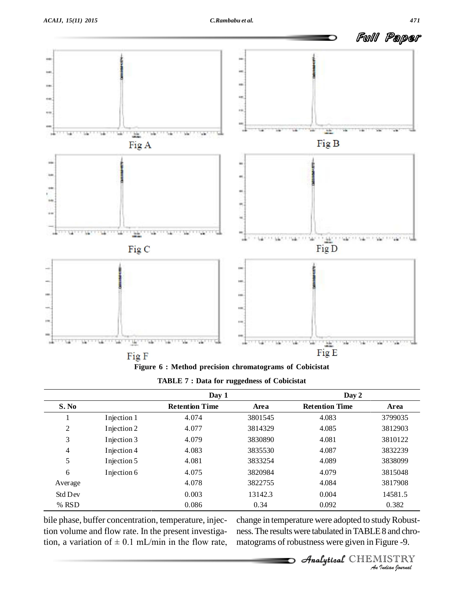

**Figure 6 : Method precision chromatograms of Cobicistat**

| <b>TABLE 7 : Data for ruggedness of Cobicistat</b> |  |
|----------------------------------------------------|--|
|----------------------------------------------------|--|

|                |             | Day 1                 |         | Day 2                 |         |
|----------------|-------------|-----------------------|---------|-----------------------|---------|
| S. No          |             | <b>Retention Time</b> | Area    | <b>Retention Time</b> | Area    |
|                | Injection 1 | 4.074                 | 3801545 | 4.083                 | 3799035 |
| $\overline{2}$ | Injection 2 | 4.077                 | 3814329 | 4.085                 | 3812903 |
| 3              | Injection 3 | 4.079                 | 3830890 | 4.081                 | 3810122 |
| 4              | Injection 4 | 4.083                 | 3835530 | 4.087                 | 3832239 |
| 5              | Injection 5 | 4.081                 | 3833254 | 4.089                 | 3838099 |
| 6              | Injection 6 | 4.075                 | 3820984 | 4.079                 | 3815048 |
| Average        |             | 4.078                 | 3822755 | 4.084                 | 3817908 |
| <b>Std Dev</b> |             | 0.003                 | 13142.3 | 0.004                 | 14581.5 |
| % RSD          |             | 0.086                 | 0.34    | 0.092                 | 0.382   |

bile phase, buffer concentration, temperature, injection volume and flow rate. In the present investigabile phase, buffer concentration, temperature, injec-<br>tion volume and flow rate. In the present investiga-<br>tion, a variation of  $\pm 0.1$  mL/min in the flow rate, matog

0.382<br>*Idy* Robust-<br>*IS* and chro-<br>*ISTRY*<br>*ISTRY* change in temperature were adopted to study Robustness.The resultswere tabulated inTABLE8 and chro matograms of robustness were given in Figure -9.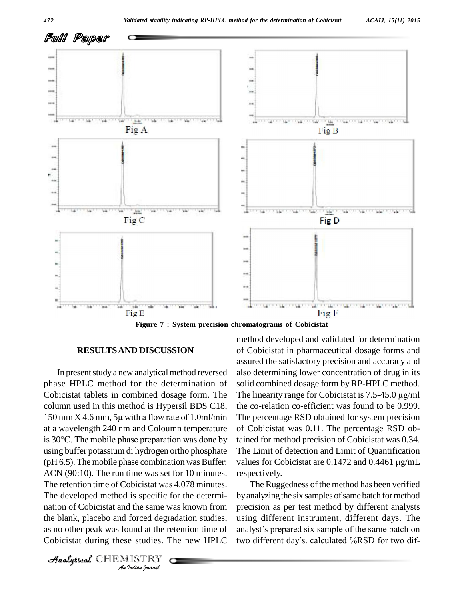

**Figure 7 : System precision chromatograms of Cobicistat**

#### **RESULTSAND DISCUSSION**

nation of Cobicistat and the same was known from precision as *I* the same was forced degreed at the restudies. The studies of  $\frac{115 \text{TRY}}{9 \text{ rad} \cdot 9 \text{ normal}}$ In present study a new analytical method reversed phase HPLC method for the determination of column used in this method is Hypersil BDS C18,<br>150 mm X 4.6 mm, 5µ with a flow rate of 1.0ml/min at a wavelength 240 nm and Coloumn temperature 150 mm X 4.6 mm, 5 $\mu$  with a flow rate of 1.0ml/min The pe<br>at a wavelength 240 nm and Coloumn temperature of Col<br>is 30°C. The mobile phase preparation was done by tained using buffer potassium di hydrogen ortho phosphate (pH 6.5). The mobile phase combination was Buffer: ACN (90:10). The run time was set for 10 minutes. The retention time of Cobicistat was 4.078 minutes. The developed method is specific for the determi the blank, placebo and forced degradation studies, as no other peak was found at the retention time of

CHEMISTRY COMPANY

Cobicistat tablets in combined dosage form. The The linearity range for Cobicistat is  $7.5-45.0 \mu g/ml$ method developed and validated for determination of Cobicistat in pharmaceutical dosage forms and assured the satisfactory precision and accuracy and also determining lower concentration of drug in its solid combined dosage form by RP-HPLC method. also determining lower concentration of drug in its<br>solid combined dosage form by RP-HPLC method.<br>The linearity range for Cobicistat is 7.5-45.0 µg/ml the co-relation co-efficient was found to be 0.999. The percentage RSD obtained for system precision of Cobicistat was 0.11. The percentage RSD obtained for method precision of Cobicistat was 0.34. The Limit of detection and Limit of Quantification values for Cobicistat are  $0.1472$  and  $0.4461 \mu g/mL$ respectively.

Cobicistat during these studies. The new HPLC two different day's calculated %RSD for two dif-The Ruggedness of the method has been verified by analyzing the six samples of same batch for method precision as per test method by different analysts<br>using different instrument, different days. The<br>analyst's prepared six sample of the same batch on using different instrument, different days. The analyst's prepared six sample of the same batch on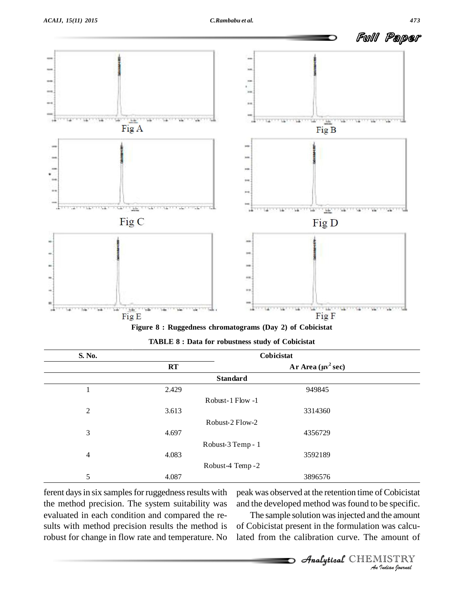

**Figure 8: Ruggedness chromatograms** (Day 2) of Cobicistat

| S. No.         | Cobicistat |                                 |  |
|----------------|------------|---------------------------------|--|
|                | RT         | Ar Area $(\mu v^2 \text{ sec})$ |  |
|                |            | <b>Standard</b>                 |  |
| 1              | 2.429      | 949845                          |  |
|                |            | Robust-1 Flow -1                |  |
| $\mathfrak{2}$ | 3.613      | 3314360                         |  |
|                |            | Robust-2 Flow-2                 |  |
| 3              | 4.697      | 4356729                         |  |
|                |            | Robust-3 Temp - 1               |  |
| $\overline{4}$ | 4.083      | 3592189                         |  |
|                |            | Robust-4 Temp - 2               |  |
| 5              | 4.087      | 3896576                         |  |

| <b>TABLE 8: Data for robustness study of Cobicistat</b> |  |
|---------------------------------------------------------|--|
|---------------------------------------------------------|--|

ferent days in six samples for ruggedness results with the method precision. The system suitability was evaluated in each condition and compared the re sults with method precision results the method is robust for change in flow rate and temperature. No

and the developed method was found to be specific. peak was observed at the retention time of Cobicistat

*Indeed Specific.*<br> *Indian Indian*<br> *IISTRY*<br> *IISTRY* The sample solution was injected and the amount of Cobicistat present in the formulation was calculated from the calibration curve. The amount of

CHEMISTRY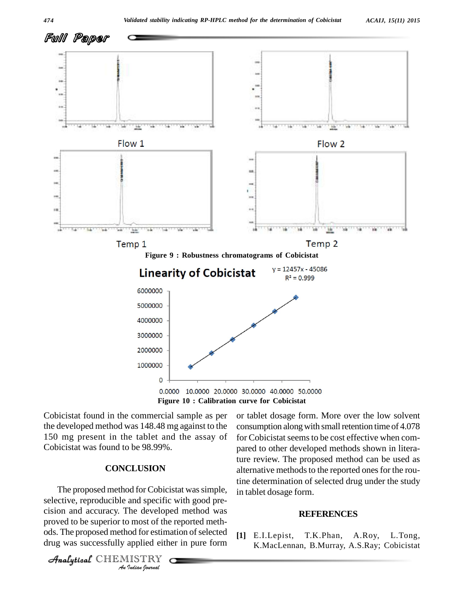

Cobicistat found in the commercial sample as per the developed method was 148.48 mg against to the 150 mg present in the tablet and the assay of Cobicistat was found to be 98.99%.

#### **CONCLUSION**

selective, reproducible and specific with good pre-*Indian* Specific<br>*Indian Indian*<br>*ISTRY*<br>*Indian Bournal*  $\frac{1}{2}$  and  $\frac{1}{2}$  and  $\frac{1}{2}$  and  $\frac{1}{2}$  are developed method was The proposed method for Cobicistat was simple, proved to be superior to most of the reported meth ods. The proposed method for estimation of selected  $\begin{bmatrix} 1 \end{bmatrix}$  E.I. Lepist, drug was successfully applied either in pure form

CHEMISTRY COMPANY

or tablet dosage form. More over the low solvent consumption along with small retention time of 4.078 for Cobicistat seems to be cost effective when compared to other developed methods shown in literature review. The proposed method can be used as alternative methods to the reported ones for the routine determination of selected drug under the study in tablet dosage form.

#### **REFERENCES**

T.K.Phan, A.Roy, L.Tong, K.MacLennan, B.Murray, A.S.Ray; Cobicistat